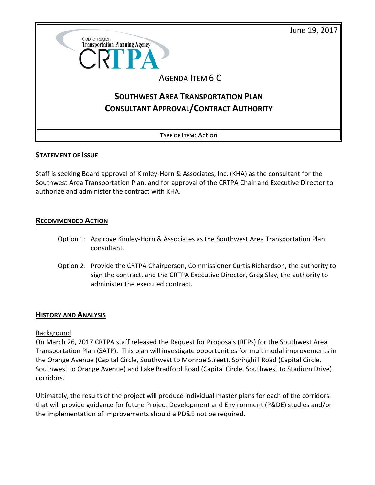



### **STATEMENT OF ISSUE**

Staff is seeking Board approval of Kimley-Horn & Associates, Inc. (KHA) as the consultant for the Southwest Area Transportation Plan, and for approval of the CRTPA Chair and Executive Director to authorize and administer the contract with KHA.

### **RECOMMENDED ACTION**

- Option 1: Approve Kimley-Horn & Associates as the Southwest Area Transportation Plan consultant.
- Option 2: Provide the CRTPA Chairperson, Commissioner Curtis Richardson, the authority to sign the contract, and the CRTPA Executive Director, Greg Slay, the authority to administer the executed contract.

## **HISTORY AND ANALYSIS**

### Background

On March 26, 2017 CRTPA staff released the Request for Proposals (RFPs) for the Southwest Area Transportation Plan (SATP). This plan will investigate opportunities for multimodal improvements in the Orange Avenue (Capital Circle, Southwest to Monroe Street), Springhill Road (Capital Circle, Southwest to Orange Avenue) and Lake Bradford Road (Capital Circle, Southwest to Stadium Drive) corridors.

Ultimately, the results of the project will produce individual master plans for each of the corridors that will provide guidance for future Project Development and Environment (P&DE) studies and/or the implementation of improvements should a PD&E not be required.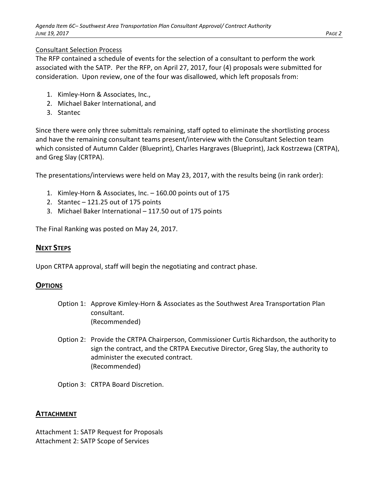## Consultant Selection Process

The RFP contained a schedule of events for the selection of a consultant to perform the work associated with the SATP. Per the RFP, on April 27, 2017, four (4) proposals were submitted for consideration. Upon review, one of the four was disallowed, which left proposals from:

- 1. Kimley-Horn & Associates, Inc.,
- 2. Michael Baker International, and
- 3. Stantec

Since there were only three submittals remaining, staff opted to eliminate the shortlisting process and have the remaining consultant teams present/interview with the Consultant Selection team which consisted of Autumn Calder (Blueprint), Charles Hargraves (Blueprint), Jack Kostrzewa (CRTPA), and Greg Slay (CRTPA).

The presentations/interviews were held on May 23, 2017, with the results being (in rank order):

- 1. Kimley-Horn & Associates, Inc. 160.00 points out of 175
- 2. Stantec 121.25 out of 175 points
- 3. Michael Baker International 117.50 out of 175 points

The Final Ranking was posted on May 24, 2017.

# **NEXT STEPS**

Upon CRTPA approval, staff will begin the negotiating and contract phase.

# **OPTIONS**

- Option 1: Approve Kimley-Horn & Associates as the Southwest Area Transportation Plan consultant. (Recommended)
- Option 2: Provide the CRTPA Chairperson, Commissioner Curtis Richardson, the authority to sign the contract, and the CRTPA Executive Director, Greg Slay, the authority to administer the executed contract. (Recommended)

Option 3: CRTPA Board Discretion.

## **ATTACHMENT**

Attachment 1: SATP Request for Proposals Attachment 2: SATP Scope of Services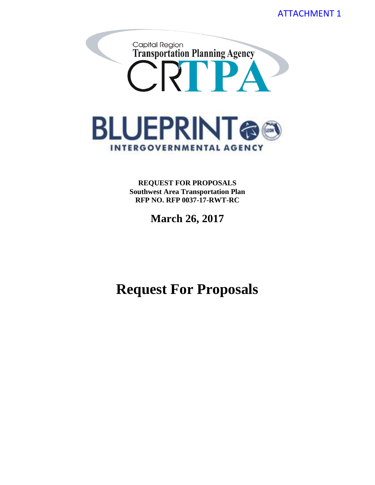

**REQUEST FOR PROPOSALS Southwest Area Transportation Plan RFP NO. RFP 0037-17-RWT-RC**

**March 26, 2017**

**Request For Proposals**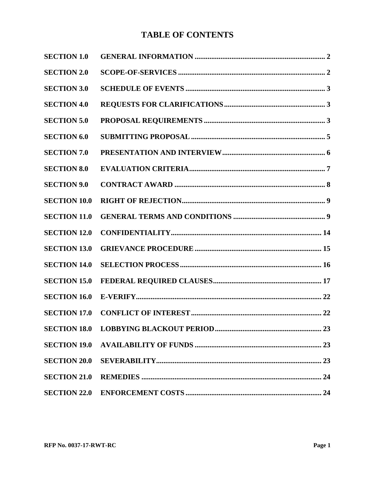# **TABLE OF CONTENTS**

| <b>SECTION 1.0</b>  |  |
|---------------------|--|
| <b>SECTION 2.0</b>  |  |
| <b>SECTION 3.0</b>  |  |
| <b>SECTION 4.0</b>  |  |
| <b>SECTION 5.0</b>  |  |
| <b>SECTION 6.0</b>  |  |
| <b>SECTION 7.0</b>  |  |
| <b>SECTION 8.0</b>  |  |
| <b>SECTION 9.0</b>  |  |
| <b>SECTION 10.0</b> |  |
| <b>SECTION 11.0</b> |  |
| <b>SECTION 12.0</b> |  |
| <b>SECTION 13.0</b> |  |
| <b>SECTION 14.0</b> |  |
| <b>SECTION 15.0</b> |  |
| <b>SECTION 16.0</b> |  |
| <b>SECTION 17.0</b> |  |
| <b>SECTION 18.0</b> |  |
| <b>SECTION 19.0</b> |  |
| <b>SECTION 20.0</b> |  |
| <b>SECTION 21.0</b> |  |
| <b>SECTION 22.0</b> |  |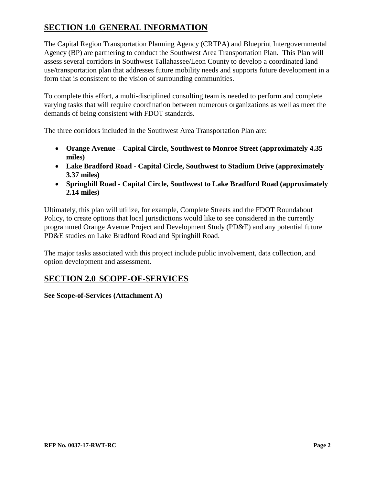# <span id="page-4-0"></span>**SECTION 1.0 GENERAL INFORMATION**

The Capital Region Transportation Planning Agency (CRTPA) and Blueprint Intergovernmental Agency (BP) are partnering to conduct the Southwest Area Transportation Plan. This Plan will assess several corridors in Southwest Tallahassee/Leon County to develop a coordinated land use/transportation plan that addresses future mobility needs and supports future development in a form that is consistent to the vision of surrounding communities.

To complete this effort, a multi-disciplined consulting team is needed to perform and complete varying tasks that will require coordination between numerous organizations as well as meet the demands of being consistent with FDOT standards.

The three corridors included in the Southwest Area Transportation Plan are:

- **Orange Avenue – Capital Circle, Southwest to Monroe Street (approximately 4.35 miles)**
- **Lake Bradford Road - Capital Circle, Southwest to Stadium Drive (approximately 3.37 miles)**
- **Springhill Road - Capital Circle, Southwest to Lake Bradford Road (approximately 2.14 miles)**

Ultimately, this plan will utilize, for example, Complete Streets and the FDOT Roundabout Policy, to create options that local jurisdictions would like to see considered in the currently programmed Orange Avenue Project and Development Study (PD&E) and any potential future PD&E studies on Lake Bradford Road and Springhill Road.

The major tasks associated with this project include public involvement, data collection, and option development and assessment.

# <span id="page-4-1"></span>**SECTION 2.0 SCOPE-OF-SERVICES**

**See Scope-of-Services (Attachment A)**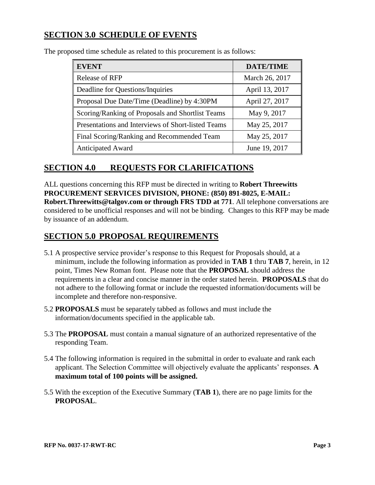# <span id="page-5-0"></span>**SECTION 3.0 SCHEDULE OF EVENTS**

| <b>EVENT</b>                                       | <b>DATE/TIME</b> |
|----------------------------------------------------|------------------|
| Release of RFP                                     | March 26, 2017   |
| Deadline for Questions/Inquiries                   | April 13, 2017   |
| Proposal Due Date/Time (Deadline) by 4:30PM        | April 27, 2017   |
| Scoring/Ranking of Proposals and Shortlist Teams   | May 9, 2017      |
| Presentations and Interviews of Short-listed Teams | May 25, 2017     |
| Final Scoring/Ranking and Recommended Team         | May 25, 2017     |
| <b>Anticipated Award</b>                           | June 19, 2017    |

The proposed time schedule as related to this procurement is as follows:

# <span id="page-5-1"></span>**SECTION 4.0 REQUESTS FOR CLARIFICATIONS**

ALL questions concerning this RFP must be directed in writing to **Robert Threewitts PROCUREMENT SERVICES DIVISION, PHONE: (850) 891-8025, E-MAIL: Robert.Threewitts@talgov.com or through FRS TDD at 771**. All telephone conversations are considered to be unofficial responses and will not be binding. Changes to this RFP may be made by issuance of an addendum.

# <span id="page-5-2"></span>**SECTION 5.0 PROPOSAL REQUIREMENTS**

- 5.1 A prospective service provider's response to this Request for Proposals should, at a minimum, include the following information as provided in **TAB 1** thru **TAB 7**, herein, in 12 point, Times New Roman font. Please note that the **PROPOSAL** should address the requirements in a clear and concise manner in the order stated herein. **PROPOSALS** that do not adhere to the following format or include the requested information/documents will be incomplete and therefore non-responsive.
- 5.2 **PROPOSALS** must be separately tabbed as follows and must include the information/documents specified in the applicable tab.
- 5.3 The **PROPOSAL** must contain a manual signature of an authorized representative of the responding Team.
- 5.4 The following information is required in the submittal in order to evaluate and rank each applicant. The Selection Committee will objectively evaluate the applicants' responses. **A maximum total of 100 points will be assigned.**
- 5.5 With the exception of the Executive Summary (**TAB 1**), there are no page limits for the **PROPOSAL**.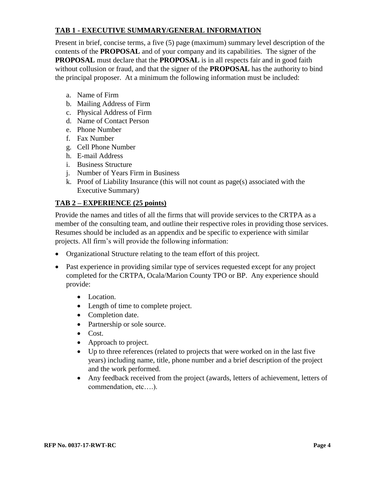## **TAB 1 - EXECUTIVE SUMMARY/GENERAL INFORMATION**

Present in brief, concise terms, a five (5) page (maximum) summary level description of the contents of the **PROPOSAL** and of your company and its capabilities. The signer of the **PROPOSAL** must declare that the **PROPOSAL** is in all respects fair and in good faith without collusion or fraud, and that the signer of the **PROPOSAL** has the authority to bind the principal proposer. At a minimum the following information must be included:

- a. Name of Firm
- b. Mailing Address of Firm
- c. Physical Address of Firm
- d. Name of Contact Person
- e. Phone Number
- f. Fax Number
- g. Cell Phone Number
- h. E-mail Address
- i. Business Structure
- j. Number of Years Firm in Business
- k. Proof of Liability Insurance (this will not count as page(s) associated with the Executive Summary)

## **TAB 2 – EXPERIENCE (25 points)**

Provide the names and titles of all the firms that will provide services to the CRTPA as a member of the consulting team, and outline their respective roles in providing those services. Resumes should be included as an appendix and be specific to experience with similar projects. All firm's will provide the following information:

- Organizational Structure relating to the team effort of this project.
- Past experience in providing similar type of services requested except for any project completed for the CRTPA, Ocala/Marion County TPO or BP. Any experience should provide:
	- Location.
	- Length of time to complete project.
	- Completion date.
	- Partnership or sole source.
	- Cost.
	- Approach to project.
	- Up to three references (related to projects that were worked on in the last five years) including name, title, phone number and a brief description of the project and the work performed.
	- Any feedback received from the project (awards, letters of achievement, letters of commendation, etc….).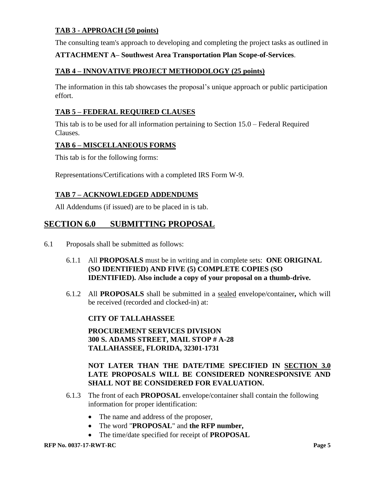## **TAB 3 - APPROACH (50 points)**

The consulting team's approach to developing and completing the project tasks as outlined in

### **ATTACHMENT A– Southwest Area Transportation Plan Scope-of-Services**.

### **TAB 4 – INNOVATIVE PROJECT METHODOLOGY (25 points)**

The information in this tab showcases the proposal's unique approach or public participation effort.

### **TAB 5 – FEDERAL REQUIRED CLAUSES**

This tab is to be used for all information pertaining to Section 15.0 – Federal Required Clauses.

### **TAB 6 – MISCELLANEOUS FORMS**

This tab is for the following forms:

Representations/Certifications with a completed IRS Form W-9.

### **TAB 7 – ACKNOWLEDGED ADDENDUMS**

All Addendums (if issued) are to be placed in is tab.

## <span id="page-7-0"></span>**SECTION 6.0 SUBMITTING PROPOSAL**

- 6.1 Proposals shall be submitted as follows:
	- 6.1.1 All **PROPOSALS** must be in writing and in complete sets: **ONE ORIGINAL (SO IDENTIFIED) AND FIVE (5) COMPLETE COPIES (SO IDENTIFIED). Also include a copy of your proposal on a thumb-drive.**
	- 6.1.2 All **PROPOSALS** shall be submitted in a sealed envelope/container**,** which will be received (recorded and clocked-in) at:

**CITY OF TALLAHASSEE**

**PROCUREMENT SERVICES DIVISION 300 S. ADAMS STREET, MAIL STOP # A-28 TALLAHASSEE, FLORIDA, 32301-1731**

### **NOT LATER THAN THE DATE/TIME SPECIFIED IN SECTION 3.0 LATE PROPOSALS WILL BE CONSIDERED NONRESPONSIVE AND SHALL NOT BE CONSIDERED FOR EVALUATION.**

- 6.1.3 The front of each **PROPOSAL** envelope/container shall contain the following information for proper identification:
	- The name and address of the proposer,
	- The word "**PROPOSAL**" and **the RFP number,**
	- The time/date specified for receipt of **PROPOSAL**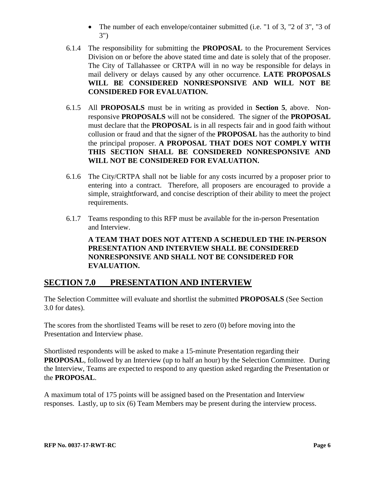- The number of each envelope/container submitted (i.e. "1 of 3, "2 of 3", "3 of 3")
- 6.1.4 The responsibility for submitting the **PROPOSAL** to the Procurement Services Division on or before the above stated time and date is solely that of the proposer. The City of Tallahassee or CRTPA will in no way be responsible for delays in mail delivery or delays caused by any other occurrence. **LATE PROPOSALS WILL BE CONSIDERED NONRESPONSIVE AND WILL NOT BE CONSIDERED FOR EVALUATION.**
- 6.1.5 All **PROPOSALS** must be in writing as provided in **Section 5**, above. Nonresponsive **PROPOSALS** will not be considered. The signer of the **PROPOSAL** must declare that the **PROPOSAL** is in all respects fair and in good faith without collusion or fraud and that the signer of the **PROPOSAL** has the authority to bind the principal proposer. **A PROPOSAL THAT DOES NOT COMPLY WITH THIS SECTION SHALL BE CONSIDERED NONRESPONSIVE AND WILL NOT BE CONSIDERED FOR EVALUATION.**
- 6.1.6 The City/CRTPA shall not be liable for any costs incurred by a proposer prior to entering into a contract. Therefore, all proposers are encouraged to provide a simple, straightforward, and concise description of their ability to meet the project requirements.
- 6.1.7 Teams responding to this RFP must be available for the in-person Presentation and Interview.

**A TEAM THAT DOES NOT ATTEND A SCHEDULED THE IN-PERSON PRESENTATION AND INTERVIEW SHALL BE CONSIDERED NONRESPONSIVE AND SHALL NOT BE CONSIDERED FOR EVALUATION.**

# <span id="page-8-0"></span>**SECTION 7.0 PRESENTATION AND INTERVIEW**

The Selection Committee will evaluate and shortlist the submitted **PROPOSALS** (See Section 3.0 for dates).

The scores from the shortlisted Teams will be reset to zero (0) before moving into the Presentation and Interview phase.

Shortlisted respondents will be asked to make a 15-minute Presentation regarding their **PROPOSAL**, followed by an Interview (up to half an hour) by the Selection Committee. During the Interview, Teams are expected to respond to any question asked regarding the Presentation or the **PROPOSAL**.

A maximum total of 175 points will be assigned based on the Presentation and Interview responses. Lastly, up to six (6) Team Members may be present during the interview process.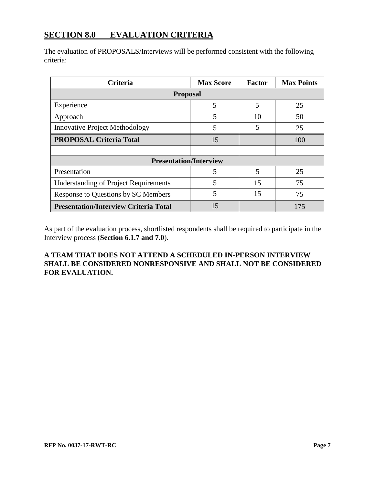# <span id="page-9-0"></span>**SECTION 8.0 EVALUATION CRITERIA**

The evaluation of PROPOSALS/Interviews will be performed consistent with the following criteria:

| <b>Criteria</b>                              | <b>Max Score</b> | <b>Factor</b> | <b>Max Points</b> |  |  |  |
|----------------------------------------------|------------------|---------------|-------------------|--|--|--|
| <b>Proposal</b>                              |                  |               |                   |  |  |  |
| Experience                                   | 5                | 5             | 25                |  |  |  |
| Approach                                     | 5                | 10            | 50                |  |  |  |
| <b>Innovative Project Methodology</b>        | 5                | 5             | 25                |  |  |  |
| <b>PROPOSAL Criteria Total</b>               | 15               |               | 100               |  |  |  |
|                                              |                  |               |                   |  |  |  |
| <b>Presentation/Interview</b>                |                  |               |                   |  |  |  |
| Presentation                                 | 5                | 5             | 25                |  |  |  |
| <b>Understanding of Project Requirements</b> | 5                | 15            | 75                |  |  |  |
| Response to Questions by SC Members          | 5                | 15            | 75                |  |  |  |
| <b>Presentation/Interview Criteria Total</b> | 15               |               | 175               |  |  |  |

As part of the evaluation process, shortlisted respondents shall be required to participate in the Interview process (**Section 6.1.7 and 7.0**).

# **A TEAM THAT DOES NOT ATTEND A SCHEDULED IN-PERSON INTERVIEW SHALL BE CONSIDERED NONRESPONSIVE AND SHALL NOT BE CONSIDERED FOR EVALUATION.**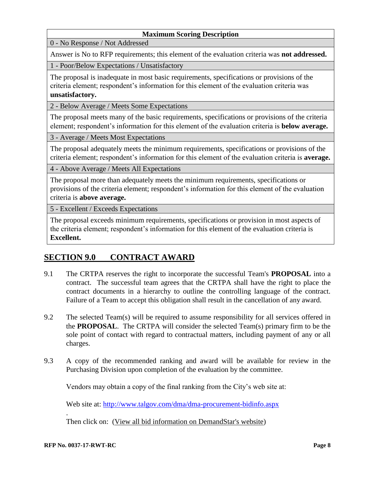### **Maximum Scoring Description**

0 - No Response / Not Addressed

Answer is No to RFP requirements; this element of the evaluation criteria was **not addressed.**

1 - Poor/Below Expectations / Unsatisfactory

The proposal is inadequate in most basic requirements, specifications or provisions of the criteria element; respondent's information for this element of the evaluation criteria was **unsatisfactory.**

2 - Below Average / Meets Some Expectations

The proposal meets many of the basic requirements, specifications or provisions of the criteria element; respondent's information for this element of the evaluation criteria is **below average.**

3 - Average / Meets Most Expectations

The proposal adequately meets the minimum requirements, specifications or provisions of the criteria element; respondent's information for this element of the evaluation criteria is **average.**

4 - Above Average / Meets All Expectations

The proposal more than adequately meets the minimum requirements, specifications or provisions of the criteria element; respondent's information for this element of the evaluation criteria is **above average.**

5 - Excellent / Exceeds Expectations

The proposal exceeds minimum requirements, specifications or provision in most aspects of the criteria element; respondent's information for this element of the evaluation criteria is **Excellent.**

# <span id="page-10-0"></span>**SECTION 9.0 CONTRACT AWARD**

- 9.1 The CRTPA reserves the right to incorporate the successful Team's **PROPOSAL** into a contract. The successful team agrees that the CRTPA shall have the right to place the contract documents in a hierarchy to outline the controlling language of the contract. Failure of a Team to accept this obligation shall result in the cancellation of any award.
- 9.2 The selected Team(s) will be required to assume responsibility for all services offered in the **PROPOSAL**. The CRTPA will consider the selected Team(s) primary firm to be the sole point of contact with regard to contractual matters, including payment of any or all charges.
- 9.3 A copy of the recommended ranking and award will be available for review in the Purchasing Division upon completion of the evaluation by the committee.

Vendors may obtain a copy of the final ranking from the City's web site at:

Web site at:<http://www.talgov.com/dma/dma-procurement-bidinfo.aspx>

Then click on: [\(View all bid information on DemandStar's website\)](http://www.demandstar.com/supplier/bids/agency_inc/bid_list.asp?f=search&mi=10070)

.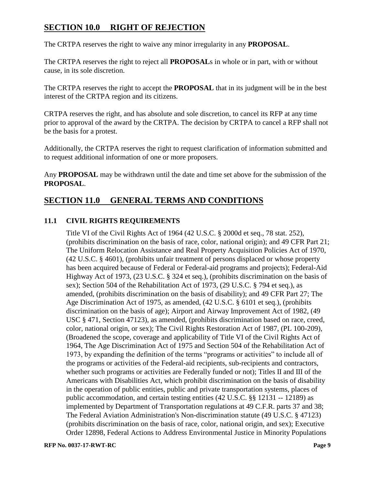# <span id="page-11-0"></span>**SECTION 10.0 RIGHT OF REJECTION**

The CRTPA reserves the right to waive any minor irregularity in any **PROPOSAL**.

The CRTPA reserves the right to reject all **PROPOSAL**s in whole or in part, with or without cause, in its sole discretion.

The CRTPA reserves the right to accept the **PROPOSAL** that in its judgment will be in the best interest of the CRTPA region and its citizens.

CRTPA reserves the right, and has absolute and sole discretion, to cancel its RFP at any time prior to approval of the award by the CRTPA. The decision by CRTPA to cancel a RFP shall not be the basis for a protest.

Additionally, the CRTPA reserves the right to request clarification of information submitted and to request additional information of one or more proposers.

Any **PROPOSAL** may be withdrawn until the date and time set above for the submission of the **PROPOSAL**.

# <span id="page-11-1"></span>**SECTION 11.0 GENERAL TERMS AND CONDITIONS**

## **11.1 CIVIL RIGHTS REQUIREMENTS**

Title VI of the Civil Rights Act of 1964 (42 U.S.C. § 2000d et seq., 78 stat. 252), (prohibits discrimination on the basis of race, color, national origin); and 49 CFR Part 21; The Uniform Relocation Assistance and Real Property Acquisition Policies Act of 1970, (42 U.S.C. § 4601), (prohibits unfair treatment of persons displaced or whose property has been acquired because of Federal or Federal-aid programs and projects); Federal-Aid Highway Act of 1973, (23 U.S.C. § 324 et seq.), (prohibits discrimination on the basis of sex); Section 504 of the Rehabilitation Act of 1973, (29 U.S.C. § 794 et seq.), as amended, (prohibits discrimination on the basis of disability); and 49 CFR Part 27; The Age Discrimination Act of 1975, as amended, (42 U.S.C. § 6101 et seq.), (prohibits discrimination on the basis of age); Airport and Airway Improvement Act of 1982, (49 USC § 471, Section 47123), as amended, (prohibits discrimination based on race, creed, color, national origin, or sex); The Civil Rights Restoration Act of 1987, (PL 100-209), (Broadened the scope, coverage and applicability of Title VI of the Civil Rights Act of 1964, The Age Discrimination Act of 1975 and Section 504 of the Rehabilitation Act of 1973, by expanding the definition of the terms "programs or activities" to include all of the programs or activities of the Federal-aid recipients, sub-recipients and contractors, whether such programs or activities are Federally funded or not); Titles II and III of the Americans with Disabilities Act, which prohibit discrimination on the basis of disability in the operation of public entities, public and private transportation systems, places of public accommodation, and certain testing entities (42 U.S.C. §§ 12131 -- 12189) as implemented by Department of Transportation regulations at 49 C.F.R. parts 37 and 38; The Federal Aviation Administration's Non-discrimination statute (49 U.S.C. § 47123) (prohibits discrimination on the basis of race, color, national origin, and sex); Executive Order 12898, Federal Actions to Address Environmental Justice in Minority Populations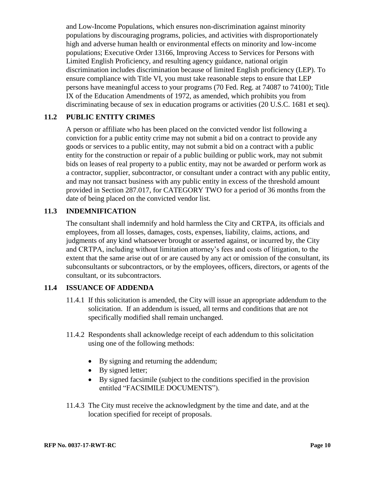and Low-Income Populations, which ensures non-discrimination against minority populations by discouraging programs, policies, and activities with disproportionately high and adverse human health or environmental effects on minority and low-income populations; Executive Order 13166, Improving Access to Services for Persons with Limited English Proficiency, and resulting agency guidance, national origin discrimination includes discrimination because of limited English proficiency (LEP). To ensure compliance with Title VI, you must take reasonable steps to ensure that LEP persons have meaningful access to your programs (70 Fed. Reg. at 74087 to 74100); Title IX of the Education Amendments of 1972, as amended, which prohibits you from discriminating because of sex in education programs or activities (20 U.S.C. 1681 et seq).

### **11.2 PUBLIC ENTITY CRIMES**

A person or affiliate who has been placed on the convicted vendor list following a conviction for a public entity crime may not submit a bid on a contract to provide any goods or services to a public entity, may not submit a bid on a contract with a public entity for the construction or repair of a public building or public work, may not submit bids on leases of real property to a public entity, may not be awarded or perform work as a contractor, supplier, subcontractor, or consultant under a contract with any public entity, and may not transact business with any public entity in excess of the threshold amount provided in Section 287.017, for CATEGORY TWO for a period of 36 months from the date of being placed on the convicted vendor list.

### **11.3 INDEMNIFICATION**

The consultant shall indemnify and hold harmless the City and CRTPA, its officials and employees, from all losses, damages, costs, expenses, liability, claims, actions, and judgments of any kind whatsoever brought or asserted against, or incurred by, the City and CRTPA, including without limitation attorney's fees and costs of litigation, to the extent that the same arise out of or are caused by any act or omission of the consultant, its subconsultants or subcontractors, or by the employees, officers, directors, or agents of the consultant, or its subcontractors.

## **11.4 ISSUANCE OF ADDENDA**

- 11.4.1 If this solicitation is amended, the City will issue an appropriate addendum to the solicitation. If an addendum is issued, all terms and conditions that are not specifically modified shall remain unchanged.
- 11.4.2 Respondents shall acknowledge receipt of each addendum to this solicitation using one of the following methods:
	- By signing and returning the addendum;
	- By signed letter;
	- By signed facsimile (subject to the conditions specified in the provision entitled "FACSIMILE DOCUMENTS").
- 11.4.3 The City must receive the acknowledgment by the time and date, and at the location specified for receipt of proposals.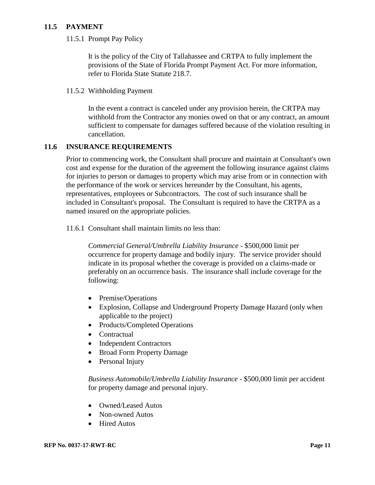### **11.5 PAYMENT**

11.5.1 Prompt Pay Policy

It is the policy of the City of Tallahassee and CRTPA to fully implement the provisions of the State of Florida Prompt Payment Act. For more information, refer to Florida State Statute 218.7.

#### 11.5.2 Withholding Payment

In the event a contract is canceled under any provision herein, the CRTPA may withhold from the Contractor any monies owed on that or any contract, an amount sufficient to compensate for damages suffered because of the violation resulting in cancellation.

### **11.6 INSURANCE REQUIREMENTS**

Prior to commencing work, the Consultant shall procure and maintain at Consultant's own cost and expense for the duration of the agreement the following insurance against claims for injuries to person or damages to property which may arise from or in connection with the performance of the work or services hereunder by the Consultant, his agents, representatives, employees or Subcontractors. The cost of such insurance shall be included in Consultant's proposal. The Consultant is required to have the CRTPA as a named insured on the appropriate policies.

11.6.1 Consultant shall maintain limits no less than:

*Commercial General/Umbrella Liability Insurance* - \$500,000 limit per occurrence for property damage and bodily injury. The service provider should indicate in its proposal whether the coverage is provided on a claims-made or preferably on an occurrence basis. The insurance shall include coverage for the following:

- Premise/Operations
- Explosion, Collapse and Underground Property Damage Hazard (only when applicable to the project)
- Products/Completed Operations
- Contractual
- Independent Contractors
- Broad Form Property Damage
- Personal Injury

*Business Automobile/Umbrella Liability Insurance -* \$500,000 limit per accident for property damage and personal injury.

- Owned/Leased Autos
- Non-owned Autos
- Hired Autos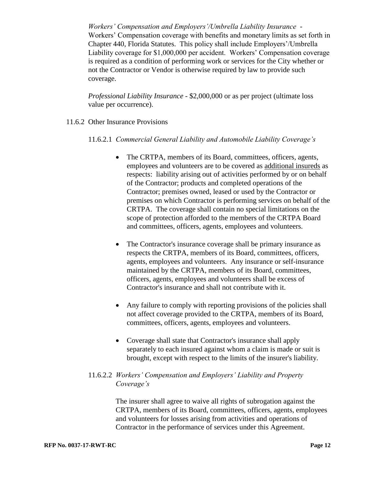*Workers' Compensation and Employers'/Umbrella Liability Insurance* - Workers' Compensation coverage with benefits and monetary limits as set forth in Chapter 440, Florida Statutes. This policy shall include Employers'/Umbrella Liability coverage for \$1,000,000 per accident. Workers' Compensation coverage is required as a condition of performing work or services for the City whether or not the Contractor or Vendor is otherwise required by law to provide such coverage.

*Professional Liability Insurance* - \$2,000,000 or as per project (ultimate loss value per occurrence).

- 11.6.2 Other Insurance Provisions
	- 11.6.2.1 *Commercial General Liability and Automobile Liability Coverage's*
		- The CRTPA, members of its Board, committees, officers, agents, employees and volunteers are to be covered as additional insureds as respects: liability arising out of activities performed by or on behalf of the Contractor; products and completed operations of the Contractor; premises owned, leased or used by the Contractor or premises on which Contractor is performing services on behalf of the CRTPA. The coverage shall contain no special limitations on the scope of protection afforded to the members of the CRTPA Board and committees, officers, agents, employees and volunteers.
		- The Contractor's insurance coverage shall be primary insurance as respects the CRTPA, members of its Board, committees, officers, agents, employees and volunteers. Any insurance or self-insurance maintained by the CRTPA, members of its Board, committees, officers, agents, employees and volunteers shall be excess of Contractor's insurance and shall not contribute with it.
		- Any failure to comply with reporting provisions of the policies shall not affect coverage provided to the CRTPA, members of its Board, committees, officers, agents, employees and volunteers.
		- Coverage shall state that Contractor's insurance shall apply separately to each insured against whom a claim is made or suit is brought, except with respect to the limits of the insurer's liability.

### 11.6.2.2 *Workers' Compensation and Employers' Liability and Property Coverage's*

The insurer shall agree to waive all rights of subrogation against the CRTPA, members of its Board, committees, officers, agents, employees and volunteers for losses arising from activities and operations of Contractor in the performance of services under this Agreement.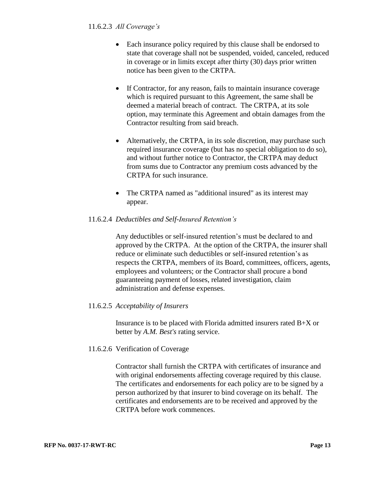- Each insurance policy required by this clause shall be endorsed to state that coverage shall not be suspended, voided, canceled, reduced in coverage or in limits except after thirty (30) days prior written notice has been given to the CRTPA.
- If Contractor, for any reason, fails to maintain insurance coverage which is required pursuant to this Agreement, the same shall be deemed a material breach of contract. The CRTPA, at its sole option, may terminate this Agreement and obtain damages from the Contractor resulting from said breach.
- Alternatively, the CRTPA, in its sole discretion, may purchase such required insurance coverage (but has no special obligation to do so), and without further notice to Contractor, the CRTPA may deduct from sums due to Contractor any premium costs advanced by the CRTPA for such insurance.
- The CRTPA named as "additional insured" as its interest may appear.

## 11.6.2.4 *Deductibles and Self-Insured Retention's*

Any deductibles or self-insured retention's must be declared to and approved by the CRTPA. At the option of the CRTPA, the insurer shall reduce or eliminate such deductibles or self-insured retention's as respects the CRTPA, members of its Board, committees, officers, agents, employees and volunteers; or the Contractor shall procure a bond guaranteeing payment of losses, related investigation, claim administration and defense expenses.

## 11.6.2.5 *Acceptability of Insurers*

Insurance is to be placed with Florida admitted insurers rated B+X or better by *A.M. Best's* rating service.

## 11.6.2.6 Verification of Coverage

Contractor shall furnish the CRTPA with certificates of insurance and with original endorsements affecting coverage required by this clause. The certificates and endorsements for each policy are to be signed by a person authorized by that insurer to bind coverage on its behalf. The certificates and endorsements are to be received and approved by the CRTPA before work commences.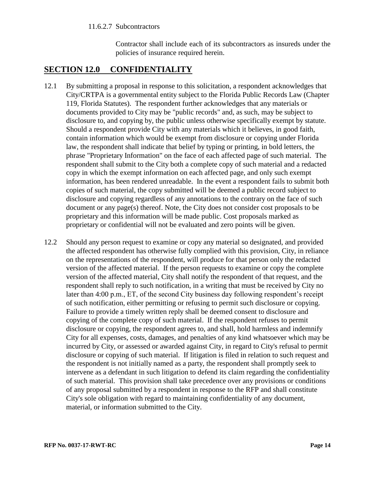#### 11.6.2.7 Subcontractors

Contractor shall include each of its subcontractors as insureds under the policies of insurance required herein.

# <span id="page-16-0"></span>**SECTION 12.0 CONFIDENTIALITY**

- 12.1 By submitting a proposal in response to this solicitation, a respondent acknowledges that City/CRTPA is a governmental entity subject to the Florida Public Records Law (Chapter 119, Florida Statutes). The respondent further acknowledges that any materials or documents provided to City may be "public records" and, as such, may be subject to disclosure to, and copying by, the public unless otherwise specifically exempt by statute. Should a respondent provide City with any materials which it believes, in good faith, contain information which would be exempt from disclosure or copying under Florida law, the respondent shall indicate that belief by typing or printing, in bold letters, the phrase "Proprietary Information" on the face of each affected page of such material. The respondent shall submit to the City both a complete copy of such material and a redacted copy in which the exempt information on each affected page, and only such exempt information, has been rendered unreadable. In the event a respondent fails to submit both copies of such material, the copy submitted will be deemed a public record subject to disclosure and copying regardless of any annotations to the contrary on the face of such document or any page(s) thereof. Note, the City does not consider cost proposals to be proprietary and this information will be made public. Cost proposals marked as proprietary or confidential will not be evaluated and zero points will be given.
- <span id="page-16-1"></span>12.2 Should any person request to examine or copy any material so designated, and provided the affected respondent has otherwise fully complied with this provision, City, in reliance on the representations of the respondent, will produce for that person only the redacted version of the affected material. If the person requests to examine or copy the complete version of the affected material, City shall notify the respondent of that request, and the respondent shall reply to such notification, in a writing that must be received by City no later than 4:00 p.m., ET, of the second City business day following respondent's receipt of such notification, either permitting or refusing to permit such disclosure or copying. Failure to provide a timely written reply shall be deemed consent to disclosure and copying of the complete copy of such material. If the respondent refuses to permit disclosure or copying, the respondent agrees to, and shall, hold harmless and indemnify City for all expenses, costs, damages, and penalties of any kind whatsoever which may be incurred by City, or assessed or awarded against City, in regard to City's refusal to permit disclosure or copying of such material. If litigation is filed in relation to such request and the respondent is not initially named as a party, the respondent shall promptly seek to intervene as a defendant in such litigation to defend its claim regarding the confidentiality of such material. This provision shall take precedence over any provisions or conditions of any proposal submitted by a respondent in response to the RFP and shall constitute City's sole obligation with regard to maintaining confidentiality of any document, material, or information submitted to the City.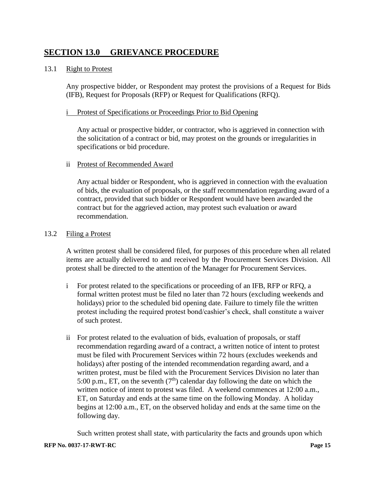# **SECTION 13.0 GRIEVANCE PROCEDURE**

#### 13.1 Right to Protest

Any prospective bidder, or Respondent may protest the provisions of a Request for Bids (IFB), Request for Proposals (RFP) or Request for Qualifications (RFQ).

#### i Protest of Specifications or Proceedings Prior to Bid Opening

Any actual or prospective bidder, or contractor, who is aggrieved in connection with the solicitation of a contract or bid, may protest on the grounds or irregularities in specifications or bid procedure.

### ii Protest of Recommended Award

Any actual bidder or Respondent, who is aggrieved in connection with the evaluation of bids, the evaluation of proposals, or the staff recommendation regarding award of a contract, provided that such bidder or Respondent would have been awarded the contract but for the aggrieved action, may protest such evaluation or award recommendation.

#### 13.2 Filing a Protest

A written protest shall be considered filed, for purposes of this procedure when all related items are actually delivered to and received by the Procurement Services Division. All protest shall be directed to the attention of the Manager for Procurement Services.

- i For protest related to the specifications or proceeding of an IFB, RFP or RFQ, a formal written protest must be filed no later than 72 hours (excluding weekends and holidays) prior to the scheduled bid opening date. Failure to timely file the written protest including the required protest bond/cashier's check, shall constitute a waiver of such protest.
- ii For protest related to the evaluation of bids, evaluation of proposals, or staff recommendation regarding award of a contract, a written notice of intent to protest must be filed with Procurement Services within 72 hours (excludes weekends and holidays) after posting of the intended recommendation regarding award, and a written protest, must be filed with the Procurement Services Division no later than 5:00 p.m., ET, on the seventh  $(7<sup>th</sup>)$  calendar day following the date on which the written notice of intent to protest was filed. A weekend commences at 12:00 a.m., ET, on Saturday and ends at the same time on the following Monday. A holiday begins at 12:00 a.m., ET, on the observed holiday and ends at the same time on the following day.

Such written protest shall state, with particularity the facts and grounds upon which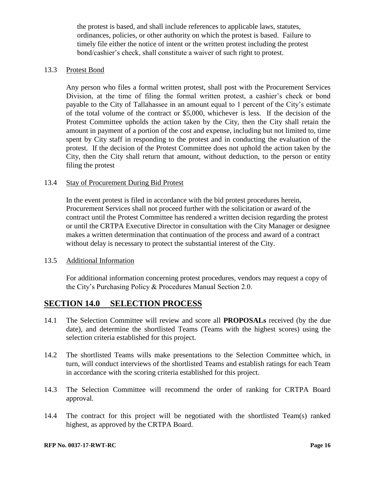the protest is based, and shall include references to applicable laws, statutes, ordinances, policies, or other authority on which the protest is based. Failure to timely file either the notice of intent or the written protest including the protest bond/cashier's check, shall constitute a waiver of such right to protest.

#### 13.3 Protest Bond

Any person who files a formal written protest, shall post with the Procurement Services Division, at the time of filing the formal written protest, a cashier's check or bond payable to the City of Tallahassee in an amount equal to 1 percent of the City's estimate of the total volume of the contract or \$5,000, whichever is less. If the decision of the Protest Committee upholds the action taken by the City, then the City shall retain the amount in payment of a portion of the cost and expense, including but not limited to, time spent by City staff in responding to the protest and in conducting the evaluation of the protest. If the decision of the Protest Committee does not uphold the action taken by the City, then the City shall return that amount, without deduction, to the person or entity filing the protest

#### 13.4 Stay of Procurement During Bid Protest

In the event protest is filed in accordance with the bid protest procedures herein, Procurement Services shall not proceed further with the solicitation or award of the contract until the Protest Committee has rendered a written decision regarding the protest or until the CRTPA Executive Director in consultation with the City Manager or designee makes a written determination that continuation of the process and award of a contract without delay is necessary to protect the substantial interest of the City.

### 13.5 Additional Information

For additional information concerning protest procedures, vendors may request a copy of the City's Purchasing Policy & Procedures Manual Section 2.0.

# <span id="page-18-0"></span>**SECTION 14.0 SELECTION PROCESS**

- 14.1 The Selection Committee will review and score all **PROPOSALs** received (by the due date), and determine the shortlisted Teams (Teams with the highest scores) using the selection criteria established for this project.
- 14.2 The shortlisted Teams wills make presentations to the Selection Committee which, in turn, will conduct interviews of the shortlisted Teams and establish ratings for each Team in accordance with the scoring criteria established for this project.
- 14.3 The Selection Committee will recommend the order of ranking for CRTPA Board approval.
- 14.4 The contract for this project will be negotiated with the shortlisted Team(s) ranked highest, as approved by the CRTPA Board.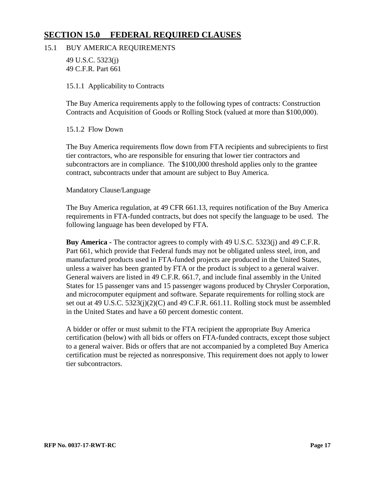# <span id="page-19-0"></span>**SECTION 15.0 FEDERAL REQUIRED CLAUSES**

### 15.1 BUY AMERICA REQUIREMENTS

49 U.S.C. 5323(j) 49 C.F.R. Part 661

15.1.1 Applicability to Contracts

The Buy America requirements apply to the following types of contracts: Construction Contracts and Acquisition of Goods or Rolling Stock (valued at more than \$100,000).

15.1.2 Flow Down

The Buy America requirements flow down from FTA recipients and subrecipients to first tier contractors, who are responsible for ensuring that lower tier contractors and subcontractors are in compliance. The \$100,000 threshold applies only to the grantee contract, subcontracts under that amount are subject to Buy America.

### Mandatory Clause/Language

The Buy America regulation, at 49 CFR 661.13, requires notification of the Buy America requirements in FTA-funded contracts, but does not specify the language to be used. The following language has been developed by FTA.

**Buy America -** The contractor agrees to comply with 49 U.S.C. 5323(j) and 49 C.F.R. Part 661, which provide that Federal funds may not be obligated unless steel, iron, and manufactured products used in FTA-funded projects are produced in the United States, unless a waiver has been granted by FTA or the product is subject to a general waiver. General waivers are listed in 49 C.F.R. 661.7, and include final assembly in the United States for 15 passenger vans and 15 passenger wagons produced by Chrysler Corporation, and microcomputer equipment and software. Separate requirements for rolling stock are set out at 49 U.S.C. 5323(j)(2)(C) and 49 C.F.R. 661.11. Rolling stock must be assembled in the United States and have a 60 percent domestic content.

A bidder or offer or must submit to the FTA recipient the appropriate Buy America certification (below) with all bids or offers on FTA-funded contracts, except those subject to a general waiver. Bids or offers that are not accompanied by a completed Buy America certification must be rejected as nonresponsive. This requirement does not apply to lower tier subcontractors.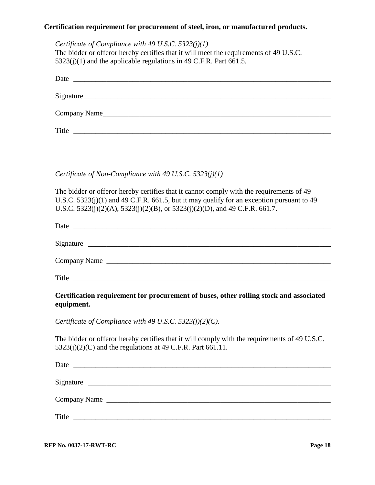### **Certification requirement for procurement of steel, iron, or manufactured products.**

*Certificate of Compliance with 49 U.S.C. 5323(j)(1)* The bidder or offeror hereby certifies that it will meet the requirements of 49 U.S.C.  $5323(j)(1)$  and the applicable regulations in 49 C.F.R. Part 661.5. Date  $\Box$ Signature \_\_\_\_\_\_\_\_\_\_\_\_\_\_\_\_\_\_\_\_\_\_\_\_\_\_\_\_\_\_\_\_\_\_\_\_\_\_\_\_\_\_\_\_\_\_\_\_\_\_\_\_\_\_\_\_\_\_\_\_\_\_\_\_\_\_\_ Company Name

Title

*Certificate of Non-Compliance with 49 U.S.C. 5323(j)(1)*

The bidder or offeror hereby certifies that it cannot comply with the requirements of 49 U.S.C. 5323(j)(1) and 49 C.F.R. 661.5, but it may qualify for an exception pursuant to 49 U.S.C. 5323(j)(2)(A), 5323(j)(2)(B), or 5323(j)(2)(D), and 49 C.F.R. 661.7.

| Date<br><u> Alexandria de la contrada de la contrada de la contrada de la contrada de la contrada de la contrada de la c</u> |  |
|------------------------------------------------------------------------------------------------------------------------------|--|
|                                                                                                                              |  |
|                                                                                                                              |  |
|                                                                                                                              |  |
| Company Name                                                                                                                 |  |
|                                                                                                                              |  |
| Title<br><u> 1980 - Jan Barbara, martxa al II-lea (h. 1980).</u>                                                             |  |
|                                                                                                                              |  |

**Certification requirement for procurement of buses, other rolling stock and associated equipment.**

*Certificate of Compliance with 49 U.S.C. 5323(j)(2)(C).*

The bidder or offeror hereby certifies that it will comply with the requirements of 49 U.S.C.  $5323(j)(2)(C)$  and the regulations at 49 C.F.R. Part 661.11.

| Date<br><u> 2000 - Jan Barnett, fransk politik (d. 1888)</u>                                                                  |  |
|-------------------------------------------------------------------------------------------------------------------------------|--|
|                                                                                                                               |  |
| Signature                                                                                                                     |  |
| Company Name                                                                                                                  |  |
|                                                                                                                               |  |
| Title<br><u> 1989 - Andrea Barbara, poeta espainiar político e a contrar a contrar a contrar a contrar a contrar a contra</u> |  |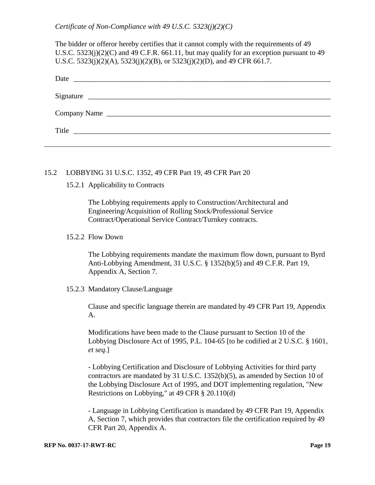*Certificate of Non-Compliance with 49 U.S.C. 5323(j)(2)(C)*

The bidder or offeror hereby certifies that it cannot comply with the requirements of 49 U.S.C. 5323(j)(2)(C) and 49 C.F.R. 661.11, but may qualify for an exception pursuant to 49 U.S.C. 5323(j)(2)(A), 5323(j)(2)(B), or 5323(j)(2)(D), and 49 CFR 661.7.

| Date<br><u> Alexandria de la contrada de la contrada de la contrada de la contrada de la contrada de la contrada de la c</u> |
|------------------------------------------------------------------------------------------------------------------------------|
|                                                                                                                              |
| Signature                                                                                                                    |
|                                                                                                                              |
| Company Name                                                                                                                 |
|                                                                                                                              |
| Title                                                                                                                        |
|                                                                                                                              |

#### 15.2 LOBBYING 31 U.S.C. 1352, 49 CFR Part 19, 49 CFR Part 20

#### 15.2.1 Applicability to Contracts

The Lobbying requirements apply to Construction/Architectural and Engineering/Acquisition of Rolling Stock/Professional Service Contract/Operational Service Contract/Turnkey contracts.

#### 15.2.2 Flow Down

The Lobbying requirements mandate the maximum flow down, pursuant to Byrd Anti-Lobbying Amendment, 31 U.S.C. § 1352(b)(5) and 49 C.F.R. Part 19, Appendix A, Section 7.

#### 15.2.3 Mandatory Clause/Language

Clause and specific language therein are mandated by 49 CFR Part 19, Appendix A.

Modifications have been made to the Clause pursuant to Section 10 of the Lobbying Disclosure Act of 1995, P.L. 104-65 [to be codified at 2 U.S.C. § 1601, *et seq.*]

- Lobbying Certification and Disclosure of Lobbying Activities for third party contractors are mandated by 31 U.S.C. 1352(b)(5), as amended by Section 10 of the Lobbying Disclosure Act of 1995, and DOT implementing regulation, "New Restrictions on Lobbying," at 49 CFR § 20.110(d)

- Language in Lobbying Certification is mandated by 49 CFR Part 19, Appendix A, Section 7, which provides that contractors file the certification required by 49 CFR Part 20, Appendix A.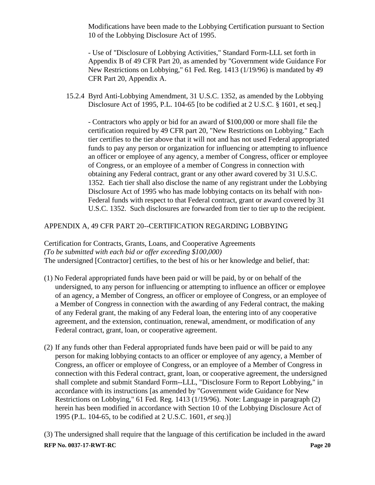Modifications have been made to the Lobbying Certification pursuant to Section 10 of the Lobbying Disclosure Act of 1995.

- Use of "Disclosure of Lobbying Activities," Standard Form-LLL set forth in Appendix B of 49 CFR Part 20, as amended by "Government wide Guidance For New Restrictions on Lobbying," 61 Fed. Reg. 1413 (1/19/96) is mandated by 49 CFR Part 20, Appendix A.

15.2.4 Byrd Anti-Lobbying Amendment, 31 U.S.C. 1352, as amended by the Lobbying Disclosure Act of 1995, P.L. 104-65 [to be codified at 2 U.S.C. § 1601, et seq.]

- Contractors who apply or bid for an award of \$100,000 or more shall file the certification required by 49 CFR part 20, "New Restrictions on Lobbying." Each tier certifies to the tier above that it will not and has not used Federal appropriated funds to pay any person or organization for influencing or attempting to influence an officer or employee of any agency, a member of Congress, officer or employee of Congress, or an employee of a member of Congress in connection with obtaining any Federal contract, grant or any other award covered by 31 U.S.C. 1352. Each tier shall also disclose the name of any registrant under the Lobbying Disclosure Act of 1995 who has made lobbying contacts on its behalf with non-Federal funds with respect to that Federal contract, grant or award covered by 31 U.S.C. 1352. Such disclosures are forwarded from tier to tier up to the recipient.

## APPENDIX A, 49 CFR PART 20--CERTIFICATION REGARDING LOBBYING

Certification for Contracts, Grants, Loans, and Cooperative Agreements *(To be submitted with each bid or offer exceeding \$100,000)* The undersigned [Contractor] certifies, to the best of his or her knowledge and belief, that:

- (1) No Federal appropriated funds have been paid or will be paid, by or on behalf of the undersigned, to any person for influencing or attempting to influence an officer or employee of an agency, a Member of Congress, an officer or employee of Congress, or an employee of a Member of Congress in connection with the awarding of any Federal contract, the making of any Federal grant, the making of any Federal loan, the entering into of any cooperative agreement, and the extension, continuation, renewal, amendment, or modification of any Federal contract, grant, loan, or cooperative agreement.
- (2) If any funds other than Federal appropriated funds have been paid or will be paid to any person for making lobbying contacts to an officer or employee of any agency, a Member of Congress, an officer or employee of Congress, or an employee of a Member of Congress in connection with this Federal contract, grant, loan, or cooperative agreement, the undersigned shall complete and submit Standard Form--LLL, "Disclosure Form to Report Lobbying," in accordance with its instructions [as amended by "Government wide Guidance for New Restrictions on Lobbying," 61 Fed. Reg. 1413 (1/19/96). Note: Language in paragraph (2) herein has been modified in accordance with Section 10 of the Lobbying Disclosure Act of 1995 (P.L. 104-65, to be codified at 2 U.S.C. 1601, *et seq.*)]

**RFP No. 0037-17-RWT-RC Page 20** (3) The undersigned shall require that the language of this certification be included in the award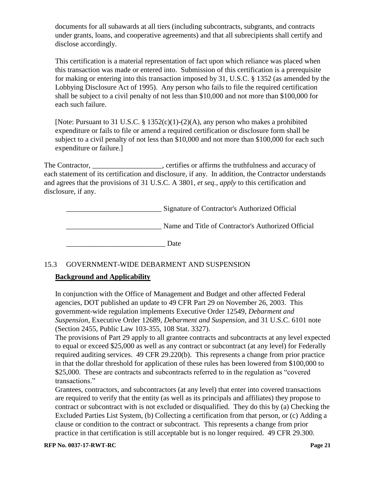documents for all subawards at all tiers (including subcontracts, subgrants, and contracts under grants, loans, and cooperative agreements) and that all subrecipients shall certify and disclose accordingly.

This certification is a material representation of fact upon which reliance was placed when this transaction was made or entered into. Submission of this certification is a prerequisite for making or entering into this transaction imposed by 31, U.S.C. § 1352 (as amended by the Lobbying Disclosure Act of 1995). Any person who fails to file the required certification shall be subject to a civil penalty of not less than \$10,000 and not more than \$100,000 for each such failure.

[Note: Pursuant to 31 U.S.C. § 1352(c)(1)-(2)(A), any person who makes a prohibited expenditure or fails to file or amend a required certification or disclosure form shall be subject to a civil penalty of not less than \$10,000 and not more than \$100,000 for each such expenditure or failure.]

The Contractor, errifies or affirms the truthfulness and accuracy of each statement of its certification and disclosure, if any. In addition, the Contractor understands and agrees that the provisions of 31 U.S.C. A 3801, *et seq., apply* to this certification and disclosure, if any.

\_\_\_\_\_\_\_\_\_\_\_\_\_\_\_\_\_\_\_\_\_\_\_\_\_\_ Signature of Contractor's Authorized Official Name and Title of Contractor's Authorized Official

\_\_\_\_\_\_\_\_\_\_\_\_\_\_\_\_\_\_\_\_\_\_\_\_\_\_\_ Date

# 15.3 GOVERNMENT-WIDE DEBARMENT AND SUSPENSION

## **Background and Applicability**

In conjunction with the Office of Management and Budget and other affected Federal agencies, DOT published an update to 49 CFR Part 29 on November 26, 2003. This government-wide regulation implements Executive Order 12549, *Debarment and Suspension*, Executive Order 12689, *Debarment and Suspension*, and 31 U.S.C. 6101 note (Section 2455, Public Law 103-355, 108 Stat. 3327).

The provisions of Part 29 apply to all grantee contracts and subcontracts at any level expected to equal or exceed \$25,000 as well as any contract or subcontract (at any level) for Federally required auditing services. 49 CFR 29.220(b). This represents a change from prior practice in that the dollar threshold for application of these rules has been lowered from \$100,000 to \$25,000. These are contracts and subcontracts referred to in the regulation as "covered" transactions."

Grantees, contractors, and subcontractors (at any level) that enter into covered transactions are required to verify that the entity (as well as its principals and affiliates) they propose to contract or subcontract with is not excluded or disqualified. They do this by (a) Checking the Excluded Parties List System, (b) Collecting a certification from that person, or (c) Adding a clause or condition to the contract or subcontract. This represents a change from prior practice in that certification is still acceptable but is no longer required. 49 CFR 29.300.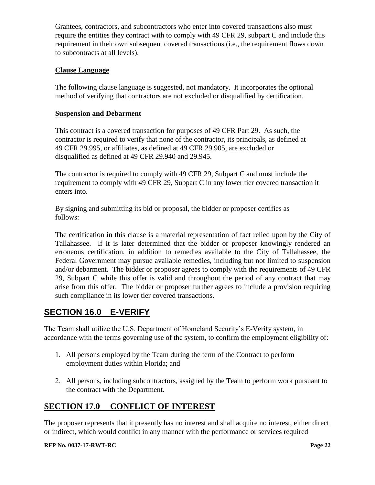Grantees, contractors, and subcontractors who enter into covered transactions also must require the entities they contract with to comply with 49 CFR 29, subpart C and include this requirement in their own subsequent covered transactions (i.e., the requirement flows down to subcontracts at all levels).

## **Clause Language**

The following clause language is suggested, not mandatory. It incorporates the optional method of verifying that contractors are not excluded or disqualified by certification.

## **Suspension and Debarment**

This contract is a covered transaction for purposes of 49 CFR Part 29. As such, the contractor is required to verify that none of the contractor, its principals, as defined at 49 CFR 29.995, or affiliates, as defined at 49 CFR 29.905, are excluded or disqualified as defined at 49 CFR 29.940 and 29.945.

The contractor is required to comply with 49 CFR 29, Subpart C and must include the requirement to comply with 49 CFR 29, Subpart C in any lower tier covered transaction it enters into.

By signing and submitting its bid or proposal, the bidder or proposer certifies as follows:

The certification in this clause is a material representation of fact relied upon by the City of Tallahassee. If it is later determined that the bidder or proposer knowingly rendered an erroneous certification, in addition to remedies available to the City of Tallahassee, the Federal Government may pursue available remedies, including but not limited to suspension and/or debarment. The bidder or proposer agrees to comply with the requirements of 49 CFR 29, Subpart C while this offer is valid and throughout the period of any contract that may arise from this offer. The bidder or proposer further agrees to include a provision requiring such compliance in its lower tier covered transactions.

# <span id="page-24-0"></span>**SECTION 16.0 E-VERIFY**

The Team shall utilize the U.S. Department of Homeland Security's E-Verify system, in accordance with the terms governing use of the system, to confirm the employment eligibility of:

- 1. All persons employed by the Team during the term of the Contract to perform employment duties within Florida; and
- 2. All persons, including subcontractors, assigned by the Team to perform work pursuant to the contract with the Department.

# <span id="page-24-1"></span>**SECTION 17.0 CONFLICT OF INTEREST**

The proposer represents that it presently has no interest and shall acquire no interest, either direct or indirect, which would conflict in any manner with the performance or services required

#### **RFP No. 0037-17-RWT-RC Page 22**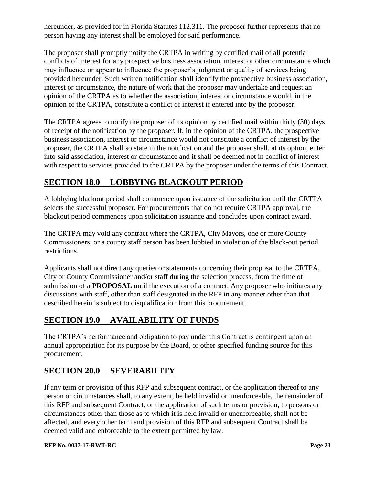hereunder, as provided for in Florida Statutes 112.311. The proposer further represents that no person having any interest shall be employed for said performance.

The proposer shall promptly notify the CRTPA in writing by certified mail of all potential conflicts of interest for any prospective business association, interest or other circumstance which may influence or appear to influence the proposer's judgment or quality of services being provided hereunder. Such written notification shall identify the prospective business association, interest or circumstance, the nature of work that the proposer may undertake and request an opinion of the CRTPA as to whether the association, interest or circumstance would, in the opinion of the CRTPA, constitute a conflict of interest if entered into by the proposer.

The CRTPA agrees to notify the proposer of its opinion by certified mail within thirty (30) days of receipt of the notification by the proposer. If, in the opinion of the CRTPA, the prospective business association, interest or circumstance would not constitute a conflict of interest by the proposer, the CRTPA shall so state in the notification and the proposer shall, at its option, enter into said association, interest or circumstance and it shall be deemed not in conflict of interest with respect to services provided to the CRTPA by the proposer under the terms of this Contract.

# <span id="page-25-0"></span>**SECTION 18.0 LOBBYING BLACKOUT PERIOD**

A lobbying blackout period shall commence upon issuance of the solicitation until the CRTPA selects the successful proposer. For procurements that do not require CRTPA approval, the blackout period commences upon solicitation issuance and concludes upon contract award.

The CRTPA may void any contract where the CRTPA, City Mayors, one or more County Commissioners, or a county staff person has been lobbied in violation of the black-out period restrictions.

Applicants shall not direct any queries or statements concerning their proposal to the CRTPA, City or County Commissioner and/or staff during the selection process, from the time of submission of a **PROPOSAL** until the execution of a contract. Any proposer who initiates any discussions with staff, other than staff designated in the RFP in any manner other than that described herein is subject to disqualification from this procurement.

# <span id="page-25-1"></span>**SECTION 19.0 AVAILABILITY OF FUNDS**

The CRTPA's performance and obligation to pay under this Contract is contingent upon an annual appropriation for its purpose by the Board, or other specified funding source for this procurement.

# <span id="page-25-2"></span>**SECTION 20.0 SEVERABILITY**

If any term or provision of this RFP and subsequent contract, or the application thereof to any person or circumstances shall, to any extent, be held invalid or unenforceable, the remainder of this RFP and subsequent Contract, or the application of such terms or provision, to persons or circumstances other than those as to which it is held invalid or unenforceable, shall not be affected, and every other term and provision of this RFP and subsequent Contract shall be deemed valid and enforceable to the extent permitted by law.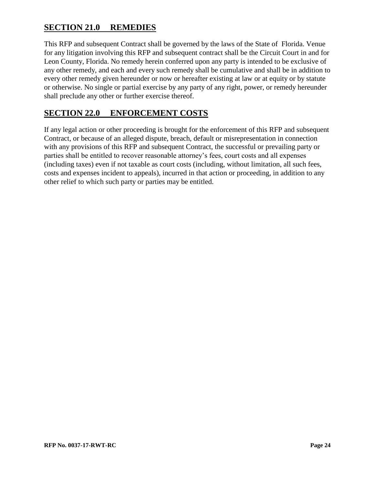# <span id="page-26-0"></span>**SECTION 21.0 REMEDIES**

This RFP and subsequent Contract shall be governed by the laws of the State of Florida. Venue for any litigation involving this RFP and subsequent contract shall be the Circuit Court in and for Leon County, Florida. No remedy herein conferred upon any party is intended to be exclusive of any other remedy, and each and every such remedy shall be cumulative and shall be in addition to every other remedy given hereunder or now or hereafter existing at law or at equity or by statute or otherwise. No single or partial exercise by any party of any right, power, or remedy hereunder shall preclude any other or further exercise thereof.

# <span id="page-26-1"></span>**SECTION 22.0 ENFORCEMENT COSTS**

If any legal action or other proceeding is brought for the enforcement of this RFP and subsequent Contract, or because of an alleged dispute, breach, default or misrepresentation in connection with any provisions of this RFP and subsequent Contract, the successful or prevailing party or parties shall be entitled to recover reasonable attorney's fees, court costs and all expenses (including taxes) even if not taxable as court costs (including, without limitation, all such fees, costs and expenses incident to appeals), incurred in that action or proceeding, in addition to any other relief to which such party or parties may be entitled.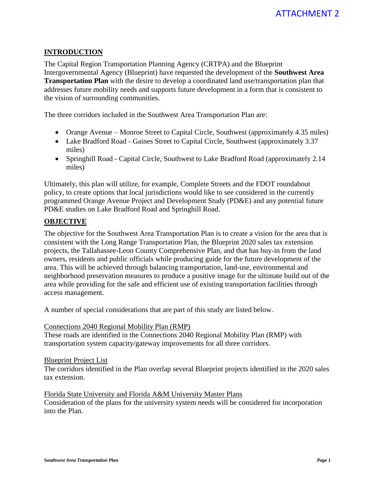## **INTRODUCTION**

The Capital Region Transportation Planning Agency (CRTPA) and the Blueprint Intergovernmental Agency (Blueprint) have requested the development of the **Southwest Area Transportation Plan** with the desire to develop a coordinated land use/transportation plan that addresses future mobility needs and supports future development in a form that is consistent to the vision of surrounding communities.

The three corridors included in the Southwest Area Transportation Plan are:

- Orange Avenue Monroe Street to Capital Circle, Southwest (approximately 4.35 miles)
- Lake Bradford Road Gaines Street to Capital Circle, Southwest (approximately 3.37 miles)
- Springhill Road Capital Circle, Southwest to Lake Bradford Road (approximately 2.14) miles)

Ultimately, this plan will utilize, for example, Complete Streets and the FDOT roundabout policy, to create options that local jurisdictions would like to see considered in the currently programmed Orange Avenue Project and Development Study (PD&E) and any potential future PD&E studies on Lake Bradford Road and Springhill Road.

### **OBJECTIVE**

The objective for the Southwest Area Transportation Plan is to create a vision for the area that is consistent with the Long Range Transportation Plan, the Blueprint 2020 sales tax extension projects, the Tallahassee-Leon County Comprehensive Plan, and that has buy-in from the land owners, residents and public officials while producing guide for the future development of the area. This will be achieved through balancing transportation, land-use, environmental and neighborhood preservation measures to produce a positive image for the ultimate build out of the area while providing for the safe and efficient use of existing transportation facilities through access management.

A number of special considerations that are part of this study are listed below.

#### Connections 2040 Regional Mobility Plan (RMP)

These roads are identified in the Connections 2040 Regional Mobility Plan (RMP) with transportation system capacity/gateway improvements for all three corridors.

#### Blueprint Project List

The corridors identified in the Plan overlap several Blueprint projects identified in the 2020 sales tax extension.

Florida State University and Florida A&M University Master Plans Consideration of the plans for the university system needs will be considered for incorporation into the Plan.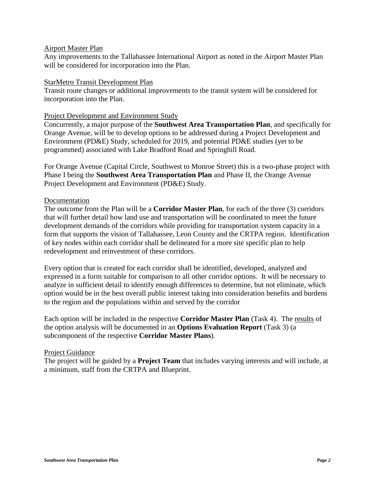#### Airport Master Plan

Any improvements to the Tallahassee International Airport as noted in the Airport Master Plan will be considered for incorporation into the Plan.

#### StarMetro Transit Development Plan

Transit route changes or additional improvements to the transit system will be considered for incorporation into the Plan.

#### Project Development and Environment Study

Concurrently, a major purpose of the **Southwest Area Transportation Plan**, and specifically for Orange Avenue, will be to develop options to be addressed during a Project Development and Environment (PD&E) Study, scheduled for 2019, and potential PD&E studies (yet to be programmed) associated with Lake Bradford Road and Springhill Road.

For Orange Avenue (Capital Circle, Southwest to Monroe Street) this is a two-phase project with Phase I being the **Southwest Area Transportation Plan** and Phase II, the Orange Avenue Project Development and Environment (PD&E) Study.

#### Documentation

The outcome from the Plan will be a **Corridor Master Plan**, for each of the three (3) corridors that will further detail how land use and transportation will be coordinated to meet the future development demands of the corridors while providing for transportation system capacity in a form that supports the vision of Tallahassee, Leon County and the CRTPA region. Identification of key nodes within each corridor shall be delineated for a more site specific plan to help redevelopment and reinvestment of these corridors.

Every option that is created for each corridor shall be identified, developed, analyzed and expressed in a form suitable for comparison to all other corridor options. It will be necessary to analyze in sufficient detail to identify enough differences to determine, but not eliminate, which option would be in the best overall public interest taking into consideration benefits and burdens to the region and the populations within and served by the corridor

Each option will be included in the respective **Corridor Master Plan** (Task 4). The results of the option analysis will be documented in an **Options Evaluation Report** (Task 3) (a subcomponent of the respective **Corridor Master Plans**).

#### Project Guidance

The project will be guided by a **Project Team** that includes varying interests and will include, at a minimum, staff from the CRTPA and Blueprint.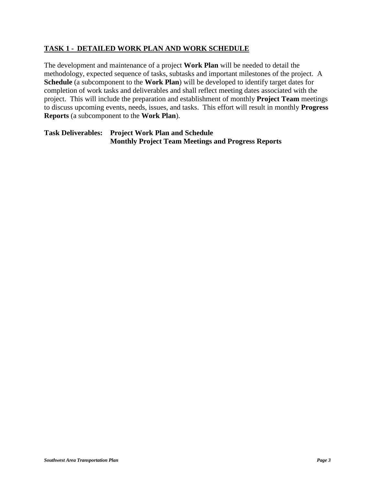## **TASK 1 - DETAILED WORK PLAN AND WORK SCHEDULE**

The development and maintenance of a project **Work Plan** will be needed to detail the methodology, expected sequence of tasks, subtasks and important milestones of the project. A **Schedule** (a subcomponent to the **Work Plan**) will be developed to identify target dates for completion of work tasks and deliverables and shall reflect meeting dates associated with the project. This will include the preparation and establishment of monthly **Project Team** meetings to discuss upcoming events, needs, issues, and tasks. This effort will result in monthly **Progress Reports** (a subcomponent to the **Work Plan**).

**Task Deliverables: Project Work Plan and Schedule Monthly Project Team Meetings and Progress Reports**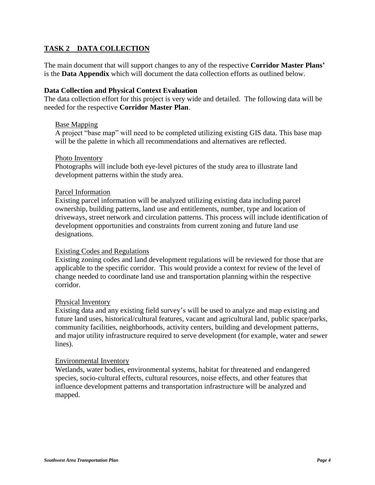## **TASK 2 DATA COLLECTION**

The main document that will support changes to any of the respective **Corridor Master Plans'** is the **Data Appendix** which will document the data collection efforts as outlined below.

#### **Data Collection and Physical Context Evaluation**

The data collection effort for this project is very wide and detailed. The following data will be needed for the respective **Corridor Master Plan**.

#### Base Mapping

A project "base map" will need to be completed utilizing existing GIS data. This base map will be the palette in which all recommendations and alternatives are reflected.

#### Photo Inventory

Photographs will include both eye-level pictures of the study area to illustrate land development patterns within the study area.

#### Parcel Information

Existing parcel information will be analyzed utilizing existing data including parcel ownership, building patterns, land use and entitlements, number, type and location of driveways, street network and circulation patterns. This process will include identification of development opportunities and constraints from current zoning and future land use designations.

### Existing Codes and Regulations

Existing zoning codes and land development regulations will be reviewed for those that are applicable to the specific corridor. This would provide a context for review of the level of change needed to coordinate land use and transportation planning within the respective corridor.

#### Physical Inventory

Existing data and any existing field survey's will be used to analyze and map existing and future land uses, historical/cultural features, vacant and agricultural land, public space/parks, community facilities, neighborhoods, activity centers, building and development patterns, and major utility infrastructure required to serve development (for example, water and sewer lines).

#### Environmental Inventory

Wetlands, water bodies, environmental systems, habitat for threatened and endangered species, socio-cultural effects, cultural resources, noise effects, and other features that influence development patterns and transportation infrastructure will be analyzed and mapped.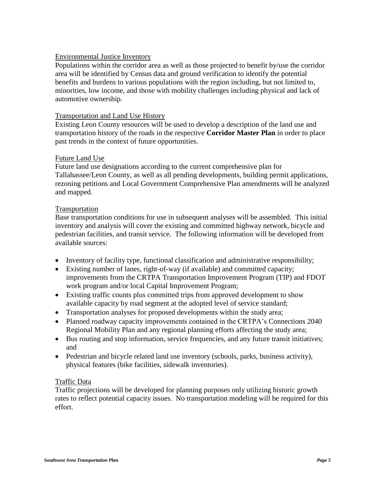### Environmental Justice Inventory

Populations within the corridor area as well as those projected to benefit by/use the corridor area will be identified by Census data and ground verification to identify the potential benefits and burdens to various populations with the region including, but not limited to, minorities, low income, and those with mobility challenges including physical and lack of automotive ownership.

### Transportation and Land Use History

Existing Leon County resources will be used to develop a description of the land use and transportation history of the roads in the respective **Corridor Master Plan** in order to place past trends in the context of future opportunities.

### Future Land Use

Future land use designations according to the current comprehensive plan for Tallahassee/Leon County, as well as all pending developments, building permit applications, rezoning petitions and Local Government Comprehensive Plan amendments will be analyzed and mapped.

### Transportation

Base transportation conditions for use in subsequent analyses will be assembled. This initial inventory and analysis will cover the existing and committed highway network, bicycle and pedestrian facilities, and transit service. The following information will be developed from available sources:

- Inventory of facility type, functional classification and administrative responsibility;
- Existing number of lanes, right-of-way (if available) and committed capacity; improvements from the CRTPA Transportation Improvement Program (TIP) and FDOT work program and/or local Capital Improvement Program;
- Existing traffic counts plus committed trips from approved development to show available capacity by road segment at the adopted level of service standard;
- Transportation analyses for proposed developments within the study area;
- Planned roadway capacity improvements contained in the CRTPA's Connections 2040 Regional Mobility Plan and any regional planning efforts affecting the study area;
- Bus routing and stop information, service frequencies, and any future transit initiatives; and
- Pedestrian and bicycle related land use inventory (schools, parks, business activity), physical features (bike facilities, sidewalk inventories).

### Traffic Data

Traffic projections will be developed for planning purposes only utilizing historic growth rates to reflect potential capacity issues. No transportation modeling will be required for this effort.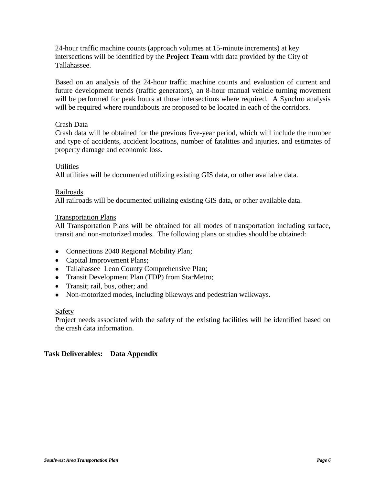24-hour traffic machine counts (approach volumes at 15-minute increments) at key intersections will be identified by the **Project Team** with data provided by the City of Tallahassee.

Based on an analysis of the 24-hour traffic machine counts and evaluation of current and future development trends (traffic generators), an 8-hour manual vehicle turning movement will be performed for peak hours at those intersections where required. A Synchro analysis will be required where roundabouts are proposed to be located in each of the corridors.

### Crash Data

Crash data will be obtained for the previous five-year period, which will include the number and type of accidents, accident locations, number of fatalities and injuries, and estimates of property damage and economic loss.

### Utilities

All utilities will be documented utilizing existing GIS data, or other available data.

### Railroads

All railroads will be documented utilizing existing GIS data, or other available data.

### Transportation Plans

All Transportation Plans will be obtained for all modes of transportation including surface, transit and non-motorized modes. The following plans or studies should be obtained:

- Connections 2040 Regional Mobility Plan;
- Capital Improvement Plans;
- Tallahassee–Leon County Comprehensive Plan;
- Transit Development Plan (TDP) from StarMetro;
- Transit; rail, bus, other; and
- Non-motorized modes, including bikeways and pedestrian walkways.

## Safety

Project needs associated with the safety of the existing facilities will be identified based on the crash data information.

## **Task Deliverables: Data Appendix**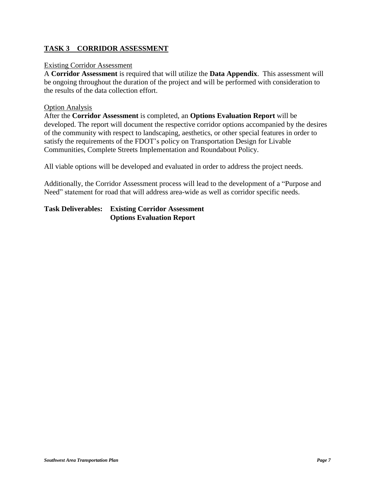## **TASK 3 CORRIDOR ASSESSMENT**

#### Existing Corridor Assessment

A **Corridor Assessment** is required that will utilize the **Data Appendix**. This assessment will be ongoing throughout the duration of the project and will be performed with consideration to the results of the data collection effort.

#### Option Analysis

After the **Corridor Assessment** is completed, an **Options Evaluation Report** will be developed. The report will document the respective corridor options accompanied by the desires of the community with respect to landscaping, aesthetics, or other special features in order to satisfy the requirements of the FDOT's policy on Transportation Design for Livable Communities, Complete Streets Implementation and Roundabout Policy.

All viable options will be developed and evaluated in order to address the project needs.

Additionally, the Corridor Assessment process will lead to the development of a "Purpose and Need" statement for road that will address area-wide as well as corridor specific needs.

**Task Deliverables: Existing Corridor Assessment Options Evaluation Report**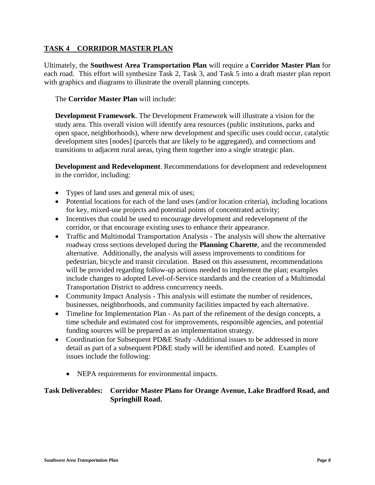# **TASK 4 CORRIDOR MASTER PLAN**

Ultimately, the **Southwest Area Transportation Plan** will require a **Corridor Master Plan** for each road. This effort will synthesize Task 2, Task 3, and Task 5 into a draft master plan report with graphics and diagrams to illustrate the overall planning concepts.

The **Corridor Master Plan** will include:

**Development Framework**. The Development Framework will illustrate a vision for the study area. This overall vision will identify area resources (public institutions, parks and open space, neighborhoods), where new development and specific uses could occur, catalytic development sites [nodes] (parcels that are likely to be aggregated), and connections and transitions to adjacent rural areas, tying them together into a single strategic plan.

**Development and Redevelopment**. Recommendations for development and redevelopment in the corridor, including:

- Types of land uses and general mix of uses;
- Potential locations for each of the land uses (and/or location criteria), including locations for key, mixed-use projects and potential points of concentrated activity;
- Incentives that could be used to encourage development and redevelopment of the corridor, or that encourage existing uses to enhance their appearance.
- Traffic and Multimodal Transportation Analysis The analysis will show the alternative roadway cross sections developed during the **Planning Charette**, and the recommended alternative. Additionally, the analysis will assess improvements to conditions for pedestrian, bicycle and transit circulation. Based on this assessment, recommendations will be provided regarding follow-up actions needed to implement the plan; examples include changes to adopted Level-of-Service standards and the creation of a Multimodal Transportation District to address concurrency needs.
- Community Impact Analysis This analysis will estimate the number of residences, businesses, neighborhoods, and community facilities impacted by each alternative.
- Timeline for Implementation Plan As part of the refinement of the design concepts, a time schedule and estimated cost for improvements, responsible agencies, and potential funding sources will be prepared as an implementation strategy.
- Coordination for Subsequent PD&E Study -Additional issues to be addressed in more detail as part of a subsequent PD&E study will be identified and noted. Examples of issues include the following:
	- NEPA requirements for environmental impacts.

## **Task Deliverables: Corridor Master Plans for Orange Avenue, Lake Bradford Road, and Springhill Road.**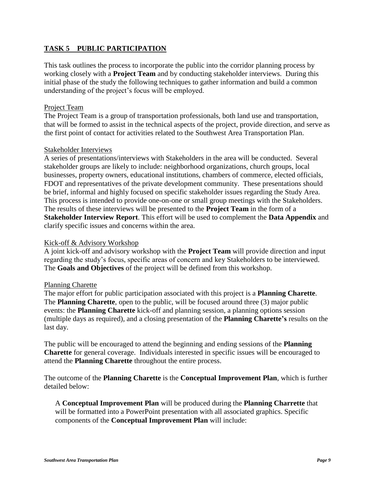## **TASK 5 PUBLIC PARTICIPATION**

This task outlines the process to incorporate the public into the corridor planning process by working closely with a **Project Team** and by conducting stakeholder interviews. During this initial phase of the study the following techniques to gather information and build a common understanding of the project's focus will be employed.

### Project Team

The Project Team is a group of transportation professionals, both land use and transportation, that will be formed to assist in the technical aspects of the project, provide direction, and serve as the first point of contact for activities related to the Southwest Area Transportation Plan.

### Stakeholder Interviews

A series of presentations/interviews with Stakeholders in the area will be conducted. Several stakeholder groups are likely to include: neighborhood organizations, church groups, local businesses, property owners, educational institutions, chambers of commerce, elected officials, FDOT and representatives of the private development community. These presentations should be brief, informal and highly focused on specific stakeholder issues regarding the Study Area. This process is intended to provide one-on-one or small group meetings with the Stakeholders. The results of these interviews will be presented to the **Project Team** in the form of a **Stakeholder Interview Report**. This effort will be used to complement the **Data Appendix** and clarify specific issues and concerns within the area.

### Kick-off & Advisory Workshop

A joint kick-off and advisory workshop with the **Project Team** will provide direction and input regarding the study's focus, specific areas of concern and key Stakeholders to be interviewed. The **Goals and Objectives** of the project will be defined from this workshop.

### Planning Charette

The major effort for public participation associated with this project is a **Planning Charette**. The **Planning Charette**, open to the public, will be focused around three (3) major public events: the **Planning Charette** kick-off and planning session, a planning options session (multiple days as required), and a closing presentation of the **Planning Charette's** results on the last day.

The public will be encouraged to attend the beginning and ending sessions of the **Planning Charette** for general coverage. Individuals interested in specific issues will be encouraged to attend the **Planning Charette** throughout the entire process.

The outcome of the **Planning Charette** is the **Conceptual Improvement Plan**, which is further detailed below:

A **Conceptual Improvement Plan** will be produced during the **Planning Charrette** that will be formatted into a PowerPoint presentation with all associated graphics. Specific components of the **Conceptual Improvement Plan** will include: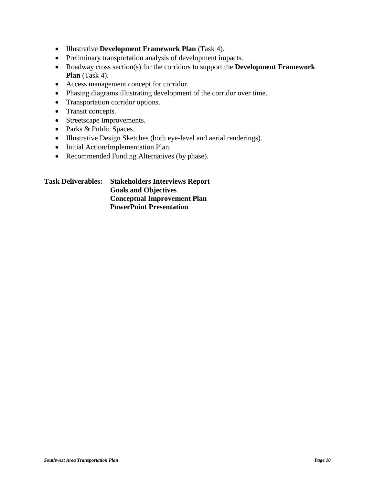- Illustrative **Development Framework Plan** (Task 4).
- Preliminary transportation analysis of development impacts.
- Roadway cross section(s) for the corridors to support the **Development Framework Plan** (Task 4).
- Access management concept for corridor.
- Phasing diagrams illustrating development of the corridor over time.
- Transportation corridor options.
- Transit concepts.
- Streetscape Improvements.
- Parks & Public Spaces.
- Illustrative Design Sketches (both eye-level and aerial renderings).
- Initial Action/Implementation Plan.
- Recommended Funding Alternatives (by phase).

| <b>Task Deliverables:</b> | <b>Stakeholders Interviews Report</b> |
|---------------------------|---------------------------------------|
|                           | <b>Goals and Objectives</b>           |
|                           | <b>Conceptual Improvement Plan</b>    |
|                           | <b>PowerPoint Presentation</b>        |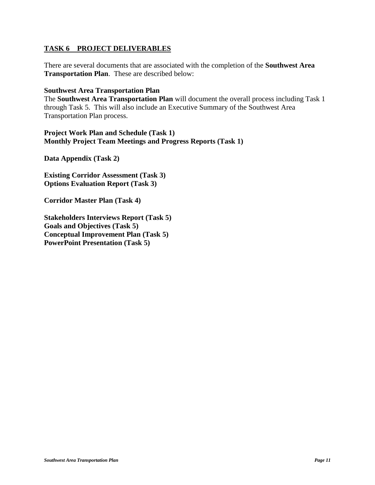### **TASK 6 PROJECT DELIVERABLES**

There are several documents that are associated with the completion of the **Southwest Area Transportation Plan**. These are described below:

**Southwest Area Transportation Plan**

The **Southwest Area Transportation Plan** will document the overall process including Task 1 through Task 5. This will also include an Executive Summary of the Southwest Area Transportation Plan process.

**Project Work Plan and Schedule (Task 1) Monthly Project Team Meetings and Progress Reports (Task 1)**

**Data Appendix (Task 2)**

**Existing Corridor Assessment (Task 3) Options Evaluation Report (Task 3)**

**Corridor Master Plan (Task 4)**

**Stakeholders Interviews Report (Task 5) Goals and Objectives (Task 5) Conceptual Improvement Plan (Task 5) PowerPoint Presentation (Task 5)**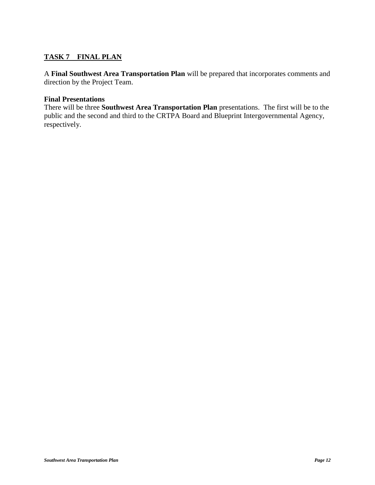# **TASK 7 FINAL PLAN**

A **Final Southwest Area Transportation Plan** will be prepared that incorporates comments and direction by the Project Team.

### **Final Presentations**

There will be three **Southwest Area Transportation Plan** presentations. The first will be to the public and the second and third to the CRTPA Board and Blueprint Intergovernmental Agency, respectively.